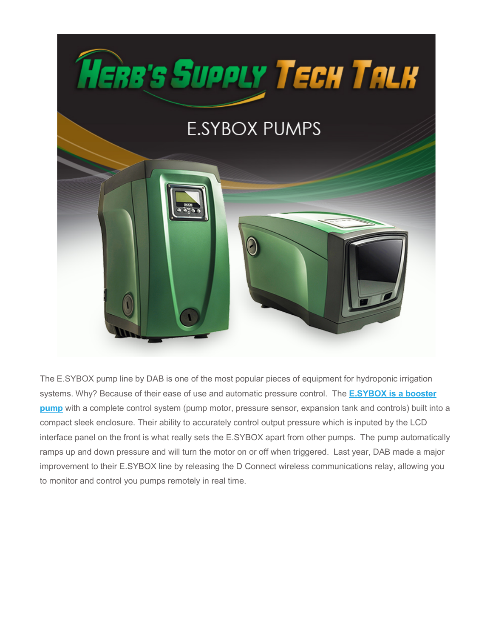

The E.SYBOX pump line by DAB is one of the most popular pieces of equipment for hydroponic irrigation systems. Why? Because of their ease of use and automatic pressure control. The **[E.SYBOX is a booster](https://www.herbssupply.com/store/c13/plumbing-pumps)  [pump](https://www.herbssupply.com/store/c13/plumbing-pumps)** with a complete control system (pump motor, pressure sensor, expansion tank and controls) built into a compact sleek enclosure. Their ability to accurately control output pressure which is inputed by the LCD interface panel on the front is what really sets the E.SYBOX apart from other pumps. The pump automatically ramps up and down pressure and will turn the motor on or off when triggered. Last year, DAB made a major improvement to their E.SYBOX line by releasing the D Connect wireless communications relay, allowing you to monitor and control you pumps remotely in real time.